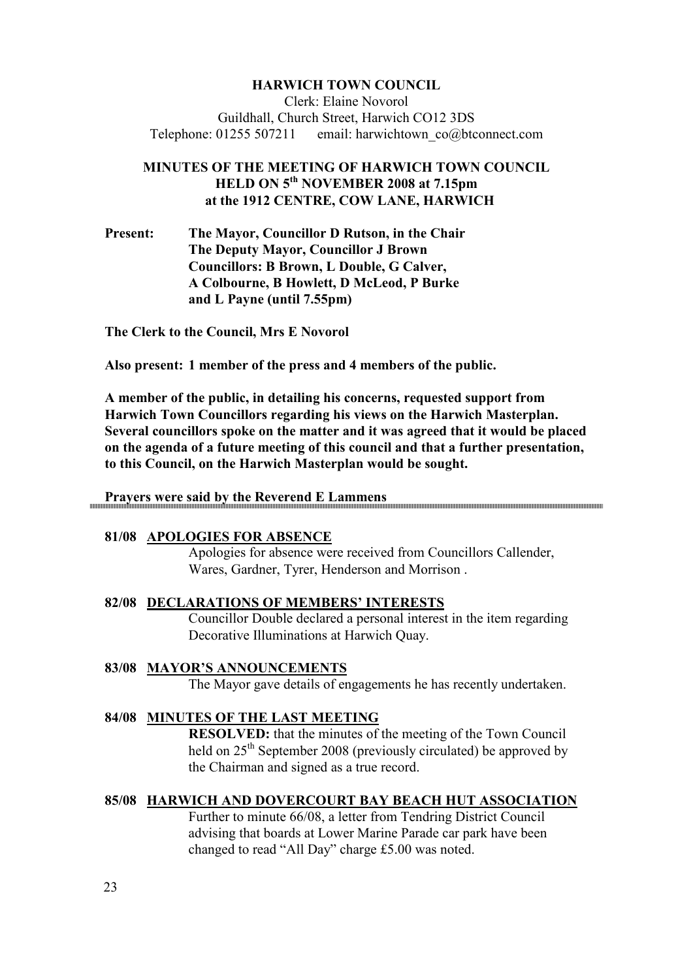# **HARWICH TOW COU CIL**

Clerk: Elaine Novorol Guildhall, Church Street, Harwich CO12 3DS Telephone: 01255 507211 email: harwichtown co@btconnect.com

# **MINUTES OF THE MEETING OF HARWICH TOWN COUNCIL HELD O 5th OVEMBER 2008 at 7.15pm at the 1912 CE TRE, COW LA E, HARWICH**

**Present: The Mayor, Councillor D Rutson, in the Chair The Deputy Mayor, Councillor J Brown Councillors: B Brown, L Double, G Calver, A Colbourne, B Howlett, D McLeod, P Burke and L Payne (until 7.55pm)** 

**The Clerk to the Council, Mrs E Novorol** 

**Also present: 1 member of the press and 4 members of the public.** 

**A member of the public, in detailing his concerns, requested support from Harwich Town Councillors regarding his views on the Harwich Masterplan. Several councillors spoke on the matter and it was agreed that it would be placed on the agenda of a future meeting of this council and that a further presentation, to this Council, on the Harwich Masterplan would be sought.** 

### **Prayers were said by the Reverend E Lammens**

#### **81/08 APOLOGIES FOR ABSE CE**

Apologies for absence were received from Councillors Callender, Wares, Gardner, Tyrer, Henderson and Morrison .

**82/08 DECLARATIO S OF MEMBERS' I TERESTS** Councillor Double declared a personal interest in the item regarding Decorative Illuminations at Harwich Quay.

#### 83/08 MAYOR'S ANNOUNCEMENTS

The Mayor gave details of engagements he has recently undertaken.

### 84/08 **MINUTES OF THE LAST MEETING**

**RESOLVED:** that the minutes of the meeting of the Town Council held on  $25<sup>th</sup>$  September 2008 (previously circulated) be approved by the Chairman and signed as a true record.

#### **85/08 HARWICH A D DOVERCOURT BAY BEACH HUT ASSOCIATIO**

Further to minute 66/08, a letter from Tendring District Council advising that boards at Lower Marine Parade car park have been changed to read "All Day" charge £5.00 was noted.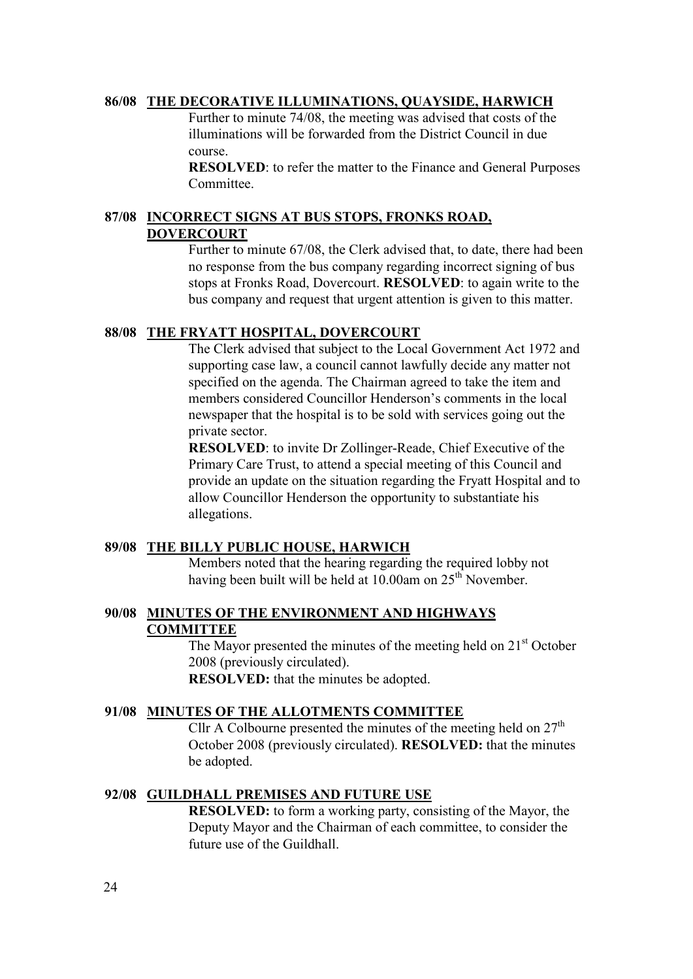## **86/08 THE DECORATIVE ILLUMI ATIO S, QUAYSIDE, HARWICH**

Further to minute 74/08, the meeting was advised that costs of the illuminations will be forwarded from the District Council in due course.

**RESOLVED**: to refer the matter to the Finance and General Purposes **Committee** 

# 87/08 <u>INCORRECT SIGNS AT BUS STOPS, FRONKS ROAD,</u> **DOVERCOURT**

Further to minute 67/08, the Clerk advised that, to date, there had been no response from the bus company regarding incorrect signing of bus stops at Fronks Road, Dovercourt. **RESOLVED**: to again write to the bus company and request that urgent attention is given to this matter.

# **88/08 THE FRYATT HOSPITAL, DOVERCOURT**

The Clerk advised that subject to the Local Government Act 1972 and supporting case law, a council cannot lawfully decide any matter not specified on the agenda. The Chairman agreed to take the item and members considered Councillor Henderson's comments in the local newspaper that the hospital is to be sold with services going out the private sector.

**RESOLVED**: to invite Dr Zollinger-Reade, Chief Executive of the Primary Care Trust, to attend a special meeting of this Council and provide an update on the situation regarding the Fryatt Hospital and to allow Councillor Henderson the opportunity to substantiate his allegations.

# **89/08 THE BILLY PUBLIC HOUSE, HARWICH**

Members noted that the hearing regarding the required lobby not having been built will be held at 10.00am on 25<sup>th</sup> November.

# 90/08 MINUTES OF THE ENVIRONMENT AND HIGHWAYS **COMMITTEE**

The Mayor presented the minutes of the meeting held on  $21<sup>st</sup>$  October 2008 (previously circulated). **RESOLVED:** that the minutes be adopted.

### **91/08 MI UTES OF THE ALLOTME TS COMMITTEE**

Cllr A Colbourne presented the minutes of the meeting held on  $27<sup>th</sup>$ October 2008 (previously circulated). **RESOLVED:** that the minutes be adopted.

### **92/08 GUILDHALL PREMISES A D FUTURE USE**

**RESOLVED:** to form a working party, consisting of the Mayor, the Deputy Mayor and the Chairman of each committee, to consider the future use of the Guildhall.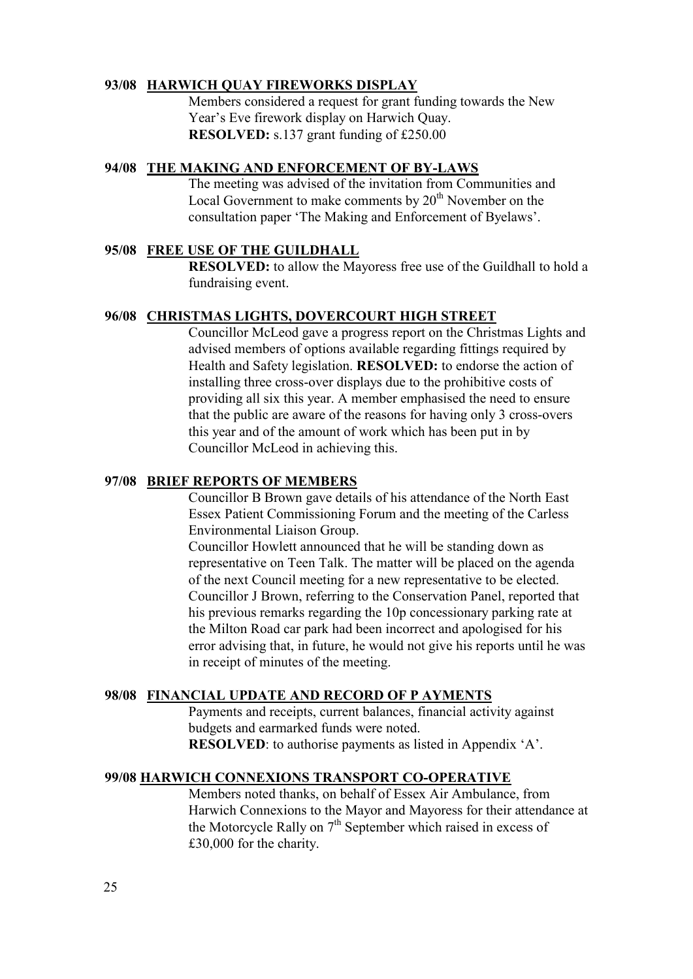## **93/08 HARWICH QUAY FIREWORKS DISPLAY**

Members considered a request for grant funding towards the New Year's Eve firework display on Harwich Quay. **RESOLVED:** s.137 grant funding of £250.00

### **94/08 THE MAKI G A D E FORCEME T OF BY-LAWS**

The meeting was advised of the invitation from Communities and Local Government to make comments by  $20<sup>th</sup>$  November on the consultation paper 'The Making and Enforcement of Byelaws'.

# **95/08 FREE USE OF THE GUILDHALL**

**RESOLVED:** to allow the Mayoress free use of the Guildhall to hold a fundraising event.

## **96/08 CHRISTMAS LIGHTS, DOVERCOURT HIGH STREET**

Councillor McLeod gave a progress report on the Christmas Lights and advised members of options available regarding fittings required by Health and Safety legislation. **RESOLVED:** to endorse the action of installing three cross-over displays due to the prohibitive costs of providing all six this year. A member emphasised the need to ensure that the public are aware of the reasons for having only 3 cross-overs this year and of the amount of work which has been put in by Councillor McLeod in achieving this.

## **97/08 BRIEF REPORTS OF MEMBERS**

Councillor B Brown gave details of his attendance of the North East Essex Patient Commissioning Forum and the meeting of the Carless Environmental Liaison Group.

Councillor Howlett announced that he will be standing down as representative on Teen Talk. The matter will be placed on the agenda of the next Council meeting for a new representative to be elected. Councillor J Brown, referring to the Conservation Panel, reported that his previous remarks regarding the 10p concessionary parking rate at the Milton Road car park had been incorrect and apologised for his error advising that, in future, he would not give his reports until he was in receipt of minutes of the meeting.

#### **98/08 FI A CIAL UPDATE A D RECORD OF P AYME TS**

Payments and receipts, current balances, financial activity against budgets and earmarked funds were noted. **RESOLVED**: to authorise payments as listed in Appendix 'A'.

#### **99/08 HARWICH CO EXIO S TRA SPORT CO-OPERATIVE**

Members noted thanks, on behalf of Essex Air Ambulance, from Harwich Connexions to the Mayor and Mayoress for their attendance at the Motorcycle Rally on 7<sup>th</sup> September which raised in excess of £30,000 for the charity.